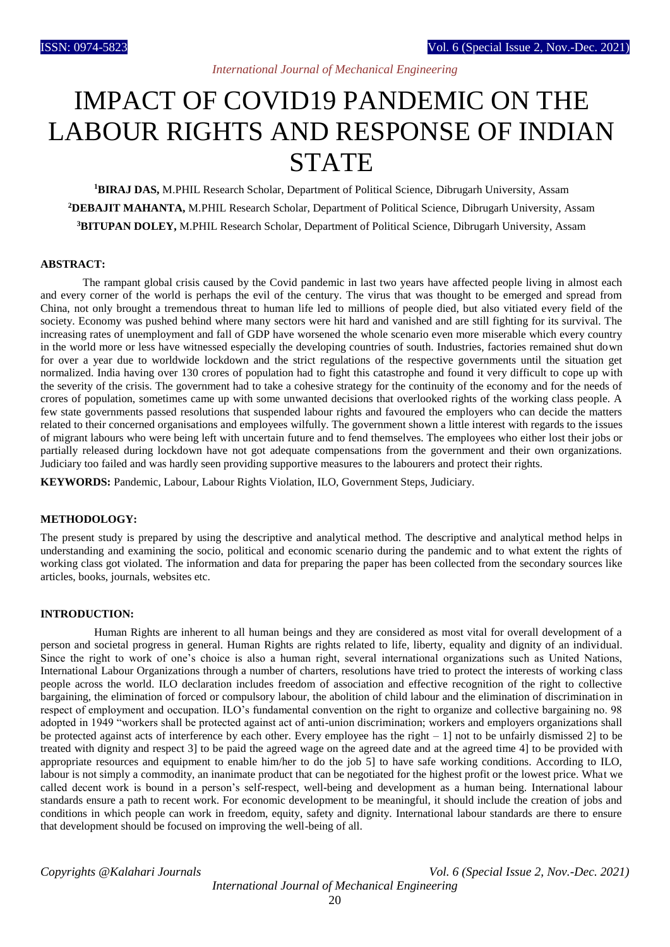# IMPACT OF COVID19 PANDEMIC ON THE LABOUR RIGHTS AND RESPONSE OF INDIAN **STATE**

**<sup>1</sup>BIRAJ DAS,** M.PHIL Research Scholar, Department of Political Science, Dibrugarh University, Assam **<sup>2</sup>DEBAJIT MAHANTA,** M.PHIL Research Scholar, Department of Political Science, Dibrugarh University, Assam **<sup>3</sup>BITUPAN DOLEY,** M.PHIL Research Scholar, Department of Political Science, Dibrugarh University, Assam

## **ABSTRACT:**

 The rampant global crisis caused by the Covid pandemic in last two years have affected people living in almost each and every corner of the world is perhaps the evil of the century. The virus that was thought to be emerged and spread from China, not only brought a tremendous threat to human life led to millions of people died, but also vitiated every field of the society. Economy was pushed behind where many sectors were hit hard and vanished and are still fighting for its survival. The increasing rates of unemployment and fall of GDP have worsened the whole scenario even more miserable which every country in the world more or less have witnessed especially the developing countries of south. Industries, factories remained shut down for over a year due to worldwide lockdown and the strict regulations of the respective governments until the situation get normalized. India having over 130 crores of population had to fight this catastrophe and found it very difficult to cope up with the severity of the crisis. The government had to take a cohesive strategy for the continuity of the economy and for the needs of crores of population, sometimes came up with some unwanted decisions that overlooked rights of the working class people. A few state governments passed resolutions that suspended labour rights and favoured the employers who can decide the matters related to their concerned organisations and employees wilfully. The government shown a little interest with regards to the issues of migrant labours who were being left with uncertain future and to fend themselves. The employees who either lost their jobs or partially released during lockdown have not got adequate compensations from the government and their own organizations. Judiciary too failed and was hardly seen providing supportive measures to the labourers and protect their rights.

**KEYWORDS:** Pandemic, Labour, Labour Rights Violation, ILO, Government Steps, Judiciary.

## **METHODOLOGY:**

The present study is prepared by using the descriptive and analytical method. The descriptive and analytical method helps in understanding and examining the socio, political and economic scenario during the pandemic and to what extent the rights of working class got violated. The information and data for preparing the paper has been collected from the secondary sources like articles, books, journals, websites etc.

### **INTRODUCTION:**

 Human Rights are inherent to all human beings and they are considered as most vital for overall development of a person and societal progress in general. Human Rights are rights related to life, liberty, equality and dignity of an individual. Since the right to work of one's choice is also a human right, several international organizations such as United Nations, International Labour Organizations through a number of charters, resolutions have tried to protect the interests of working class people across the world. ILO declaration includes freedom of association and effective recognition of the right to collective bargaining, the elimination of forced or compulsory labour, the abolition of child labour and the elimination of discrimination in respect of employment and occupation. ILO's fundamental convention on the right to organize and collective bargaining no. 98 adopted in 1949 "workers shall be protected against act of anti-union discrimination; workers and employers organizations shall be protected against acts of interference by each other. Every employee has the right  $-1$ ] not to be unfairly dismissed 2] to be treated with dignity and respect 3] to be paid the agreed wage on the agreed date and at the agreed time 4] to be provided with appropriate resources and equipment to enable him/her to do the job 5] to have safe working conditions. According to ILO, labour is not simply a commodity, an inanimate product that can be negotiated for the highest profit or the lowest price. What we called decent work is bound in a person's self-respect, well-being and development as a human being. International labour standards ensure a path to recent work. For economic development to be meaningful, it should include the creation of jobs and conditions in which people can work in freedom, equity, safety and dignity. International labour standards are there to ensure that development should be focused on improving the well-being of all.

*Copyrights @Kalahari Journals Vol. 6 (Special Issue 2, Nov.-Dec. 2021) International Journal of Mechanical Engineering*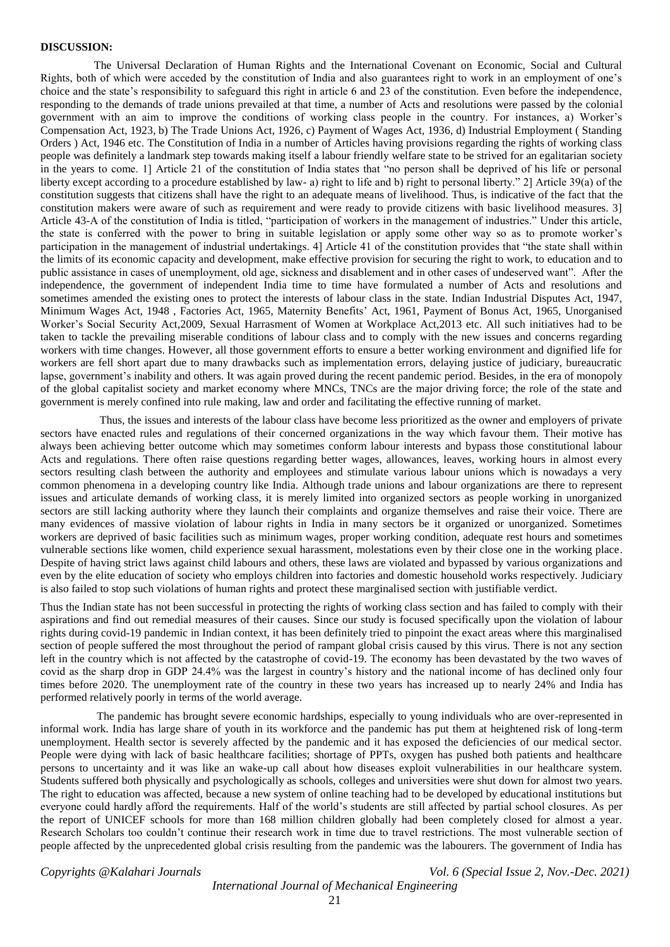#### **DISCUSSION:**

 The Universal Declaration of Human Rights and the International Covenant on Economic, Social and Cultural Rights, both of which were acceded by the constitution of India and also guarantees right to work in an employment of one's choice and the state's responsibility to safeguard this right in article 6 and 23 of the constitution. Even before the independence, responding to the demands of trade unions prevailed at that time, a number of Acts and resolutions were passed by the colonial government with an aim to improve the conditions of working class people in the country. For instances, a) Worker's Compensation Act, 1923, b) The Trade Unions Act, 1926, c) Payment of Wages Act, 1936, d) Industrial Employment ( Standing Orders ) Act, 1946 etc. The Constitution of India in a number of Articles having provisions regarding the rights of working class people was definitely a landmark step towards making itself a labour friendly welfare state to be strived for an egalitarian society in the years to come. 1] Article 21 of the constitution of India states that "no person shall be deprived of his life or personal liberty except according to a procedure established by law- a) right to life and b) right to personal liberty." 2] Article 39(a) of the constitution suggests that citizens shall have the right to an adequate means of livelihood. Thus, is indicative of the fact that the constitution makers were aware of such as requirement and were ready to provide citizens with basic livelihood measures. 3] Article 43-A of the constitution of India is titled, "participation of workers in the management of industries." Under this article, the state is conferred with the power to bring in suitable legislation or apply some other way so as to promote worker's participation in the management of industrial undertakings. 4] Article 41 of the constitution provides that "the state shall within the limits of its economic capacity and development, make effective provision for securing the right to work, to education and to public assistance in cases of unemployment, old age, sickness and disablement and in other cases of undeserved want". After the independence, the government of independent India time to time have formulated a number of Acts and resolutions and sometimes amended the existing ones to protect the interests of labour class in the state. Indian Industrial Disputes Act, 1947, Minimum Wages Act, 1948 , Factories Act, 1965, Maternity Benefits' Act, 1961, Payment of Bonus Act, 1965, Unorganised Worker's Social Security Act,2009, Sexual Harrasment of Women at Workplace Act,2013 etc. All such initiatives had to be taken to tackle the prevailing miserable conditions of labour class and to comply with the new issues and concerns regarding workers with time changes. However, all those government efforts to ensure a better working environment and dignified life for workers are fell short apart due to many drawbacks such as implementation errors, delaying justice of judiciary, bureaucratic lapse, government's inability and others. It was again proved during the recent pandemic period. Besides, in the era of monopoly of the global capitalist society and market economy where MNCs, TNCs are the major driving force; the role of the state and government is merely confined into rule making, law and order and facilitating the effective running of market.

 Thus, the issues and interests of the labour class have become less prioritized as the owner and employers of private sectors have enacted rules and regulations of their concerned organizations in the way which favour them. Their motive has always been achieving better outcome which may sometimes conform labour interests and bypass those constitutional labour Acts and regulations. There often raise questions regarding better wages, allowances, leaves, working hours in almost every sectors resulting clash between the authority and employees and stimulate various labour unions which is nowadays a very common phenomena in a developing country like India. Although trade unions and labour organizations are there to represent issues and articulate demands of working class, it is merely limited into organized sectors as people working in unorganized sectors are still lacking authority where they launch their complaints and organize themselves and raise their voice. There are many evidences of massive violation of labour rights in India in many sectors be it organized or unorganized. Sometimes workers are deprived of basic facilities such as minimum wages, proper working condition, adequate rest hours and sometimes vulnerable sections like women, child experience sexual harassment, molestations even by their close one in the working place. Despite of having strict laws against child labours and others, these laws are violated and bypassed by various organizations and even by the elite education of society who employs children into factories and domestic household works respectively. Judiciary is also failed to stop such violations of human rights and protect these marginalised section with justifiable verdict.

Thus the Indian state has not been successful in protecting the rights of working class section and has failed to comply with their aspirations and find out remedial measures of their causes. Since our study is focused specifically upon the violation of labour rights during covid-19 pandemic in Indian context, it has been definitely tried to pinpoint the exact areas where this marginalised section of people suffered the most throughout the period of rampant global crisis caused by this virus. There is not any section left in the country which is not affected by the catastrophe of covid-19. The economy has been devastated by the two waves of covid as the sharp drop in GDP 24.4% was the largest in country's history and the national income of has declined only four times before 2020. The unemployment rate of the country in these two years has increased up to nearly 24% and India has performed relatively poorly in terms of the world average.

 The pandemic has brought severe economic hardships, especially to young individuals who are over-represented in informal work. India has large share of youth in its workforce and the pandemic has put them at heightened risk of long-term unemployment. Health sector is severely affected by the pandemic and it has exposed the deficiencies of our medical sector. People were dying with lack of basic healthcare facilities; shortage of PPTs, oxygen has pushed both patients and healthcare persons to uncertainty and it was like an wake-up call about how diseases exploit vulnerabilities in our healthcare system. Students suffered both physically and psychologically as schools, colleges and universities were shut down for almost two years. The right to education was affected, because a new system of online teaching had to be developed by educational institutions but everyone could hardly afford the requirements. Half of the world's students are still affected by partial school closures. As per the report of UNICEF schools for more than 168 million children globally had been completely closed for almost a year. Research Scholars too couldn't continue their research work in time due to travel restrictions. The most vulnerable section of people affected by the unprecedented global crisis resulting from the pandemic was the labourers. The government of India has

*Copyrights @Kalahari Journals Vol. 6 (Special Issue 2, Nov.-Dec. 2021)*

## *International Journal of Mechanical Engineering*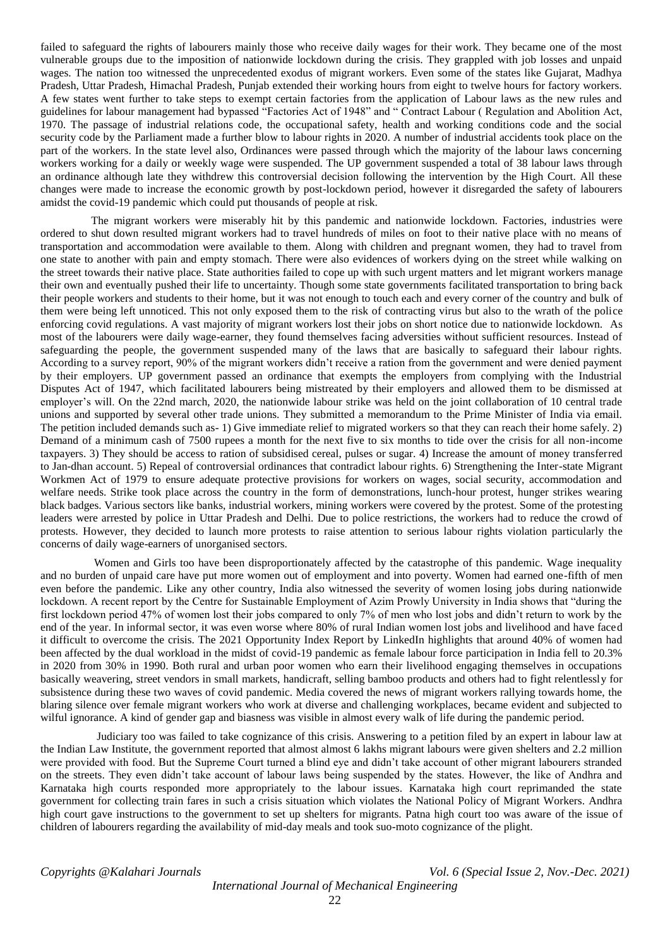failed to safeguard the rights of labourers mainly those who receive daily wages for their work. They became one of the most vulnerable groups due to the imposition of nationwide lockdown during the crisis. They grappled with job losses and unpaid wages. The nation too witnessed the unprecedented exodus of migrant workers. Even some of the states like Gujarat, Madhya Pradesh, Uttar Pradesh, Himachal Pradesh, Punjab extended their working hours from eight to twelve hours for factory workers. A few states went further to take steps to exempt certain factories from the application of Labour laws as the new rules and guidelines for labour management had bypassed "Factories Act of 1948" and " Contract Labour ( Regulation and Abolition Act, 1970. The passage of industrial relations code, the occupational safety, health and working conditions code and the social security code by the Parliament made a further blow to labour rights in 2020. A number of industrial accidents took place on the part of the workers. In the state level also, Ordinances were passed through which the majority of the labour laws concerning workers working for a daily or weekly wage were suspended. The UP government suspended a total of 38 labour laws through an ordinance although late they withdrew this controversial decision following the intervention by the High Court. All these changes were made to increase the economic growth by post-lockdown period, however it disregarded the safety of labourers amidst the covid-19 pandemic which could put thousands of people at risk.

 The migrant workers were miserably hit by this pandemic and nationwide lockdown. Factories, industries were ordered to shut down resulted migrant workers had to travel hundreds of miles on foot to their native place with no means of transportation and accommodation were available to them. Along with children and pregnant women, they had to travel from one state to another with pain and empty stomach. There were also evidences of workers dying on the street while walking on the street towards their native place. State authorities failed to cope up with such urgent matters and let migrant workers manage their own and eventually pushed their life to uncertainty. Though some state governments facilitated transportation to bring back their people workers and students to their home, but it was not enough to touch each and every corner of the country and bulk of them were being left unnoticed. This not only exposed them to the risk of contracting virus but also to the wrath of the police enforcing covid regulations. A vast majority of migrant workers lost their jobs on short notice due to nationwide lockdown. As most of the labourers were daily wage-earner, they found themselves facing adversities without sufficient resources. Instead of safeguarding the people, the government suspended many of the laws that are basically to safeguard their labour rights. According to a survey report, 90% of the migrant workers didn't receive a ration from the government and were denied payment by their employers. UP government passed an ordinance that exempts the employers from complying with the Industrial Disputes Act of 1947, which facilitated labourers being mistreated by their employers and allowed them to be dismissed at employer's will. On the 22nd march, 2020, the nationwide labour strike was held on the joint collaboration of 10 central trade unions and supported by several other trade unions. They submitted a memorandum to the Prime Minister of India via email. The petition included demands such as- 1) Give immediate relief to migrated workers so that they can reach their home safely. 2) Demand of a minimum cash of 7500 rupees a month for the next five to six months to tide over the crisis for all non-income taxpayers. 3) They should be access to ration of subsidised cereal, pulses or sugar. 4) Increase the amount of money transferred to Jan-dhan account. 5) Repeal of controversial ordinances that contradict labour rights. 6) Strengthening the Inter-state Migrant Workmen Act of 1979 to ensure adequate protective provisions for workers on wages, social security, accommodation and welfare needs. Strike took place across the country in the form of demonstrations, lunch-hour protest, hunger strikes wearing black badges. Various sectors like banks, industrial workers, mining workers were covered by the protest. Some of the protesting leaders were arrested by police in Uttar Pradesh and Delhi. Due to police restrictions, the workers had to reduce the crowd of protests. However, they decided to launch more protests to raise attention to serious labour rights violation particularly the concerns of daily wage-earners of unorganised sectors.

 Women and Girls too have been disproportionately affected by the catastrophe of this pandemic. Wage inequality and no burden of unpaid care have put more women out of employment and into poverty. Women had earned one-fifth of men even before the pandemic. Like any other country, India also witnessed the severity of women losing jobs during nationwide lockdown. A recent report by the Centre for Sustainable Employment of Azim Prowly University in India shows that "during the first lockdown period 47% of women lost their jobs compared to only 7% of men who lost jobs and didn't return to work by the end of the year. In informal sector, it was even worse where 80% of rural Indian women lost jobs and livelihood and have faced it difficult to overcome the crisis. The 2021 Opportunity Index Report by LinkedIn highlights that around 40% of women had been affected by the dual workload in the midst of covid-19 pandemic as female labour force participation in India fell to 20.3% in 2020 from 30% in 1990. Both rural and urban poor women who earn their livelihood engaging themselves in occupations basically weavering, street vendors in small markets, handicraft, selling bamboo products and others had to fight relentlessly for subsistence during these two waves of covid pandemic. Media covered the news of migrant workers rallying towards home, the blaring silence over female migrant workers who work at diverse and challenging workplaces, became evident and subjected to wilful ignorance. A kind of gender gap and biasness was visible in almost every walk of life during the pandemic period.

 Judiciary too was failed to take cognizance of this crisis. Answering to a petition filed by an expert in labour law at the Indian Law Institute, the government reported that almost almost 6 lakhs migrant labours were given shelters and 2.2 million were provided with food. But the Supreme Court turned a blind eye and didn't take account of other migrant labourers stranded on the streets. They even didn't take account of labour laws being suspended by the states. However, the like of Andhra and Karnataka high courts responded more appropriately to the labour issues. Karnataka high court reprimanded the state government for collecting train fares in such a crisis situation which violates the National Policy of Migrant Workers. Andhra high court gave instructions to the government to set up shelters for migrants. Patna high court too was aware of the issue of children of labourers regarding the availability of mid-day meals and took suo-moto cognizance of the plight.

*Copyrights @Kalahari Journals Vol. 6 (Special Issue 2, Nov.-Dec. 2021)*